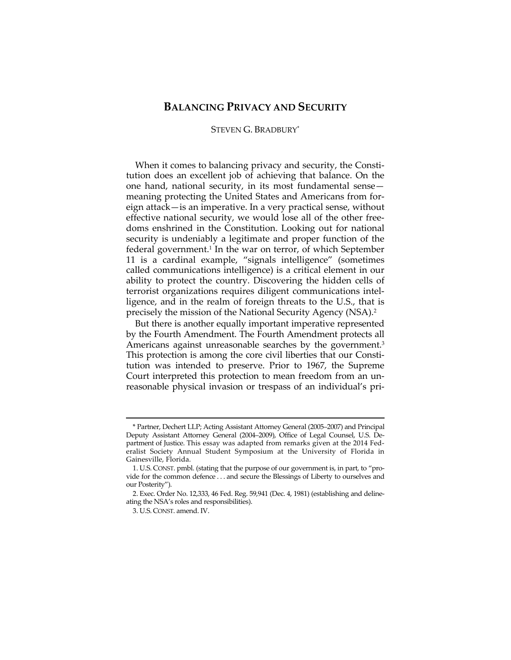## **BALANCING PRIVACY AND SECURITY**

## STEVEN G. BRADBURY\*

When it comes to balancing privacy and security, the Constitution does an excellent job of achieving that balance. On the one hand, national security, in its most fundamental sense meaning protecting the United States and Americans from foreign attack—is an imperative. In a very practical sense, without effective national security, we would lose all of the other freedoms enshrined in the Constitution. Looking out for national security is undeniably a legitimate and proper function of the federal government.1 In the war on terror, of which September 11 is a cardinal example, "signals intelligence" (sometimes called communications intelligence) is a critical element in our ability to protect the country. Discovering the hidden cells of terrorist organizations requires diligent communications intelligence, and in the realm of foreign threats to the U.S., that is precisely the mission of the National Security Agency (NSA).2

But there is another equally important imperative represented by the Fourth Amendment. The Fourth Amendment protects all Americans against unreasonable searches by the government.<sup>3</sup> This protection is among the core civil liberties that our Constitution was intended to preserve. Prior to 1967, the Supreme Court interpreted this protection to mean freedom from an unreasonable physical invasion or trespass of an individual's pri-

<u> 1989 - Johann Barn, mars ar breithinn ar chuid ann an t-Alban ann an t-Alban ann an t-Alban ann an t-Alban a</u>

<sup>\*</sup> Partner, Dechert LLP; Acting Assistant Attorney General (2005–2007) and Principal Deputy Assistant Attorney General (2004–2009), Office of Legal Counsel, U.S. Department of Justice. This essay was adapted from remarks given at the 2014 Federalist Society Annual Student Symposium at the University of Florida in Gainesville, Florida.

 <sup>1.</sup> U.S. CONST. pmbl. (stating that the purpose of our government is, in part, to "provide for the common defence . . . and secure the Blessings of Liberty to ourselves and our Posterity").

 <sup>2.</sup> Exec. Order No. 12,333, 46 Fed. Reg. 59,941 (Dec. 4, 1981) (establishing and delineating the NSA's roles and responsibilities).

 <sup>3.</sup> U.S. CONST. amend. IV.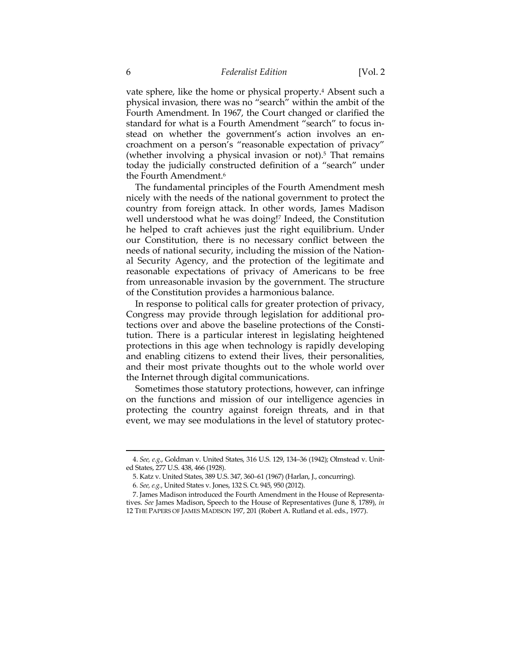vate sphere, like the home or physical property.<sup>4</sup> Absent such a physical invasion, there was no "search" within the ambit of the Fourth Amendment. In 1967, the Court changed or clarified the standard for what is a Fourth Amendment "search" to focus instead on whether the government's action involves an encroachment on a person's "reasonable expectation of privacy" (whether involving a physical invasion or not).<sup>5</sup> That remains today the judicially constructed definition of a "search" under the Fourth Amendment.6

The fundamental principles of the Fourth Amendment mesh nicely with the needs of the national government to protect the country from foreign attack. In other words, James Madison well understood what he was doing!<sup>7</sup> Indeed, the Constitution he helped to craft achieves just the right equilibrium. Under our Constitution, there is no necessary conflict between the needs of national security, including the mission of the National Security Agency, and the protection of the legitimate and reasonable expectations of privacy of Americans to be free from unreasonable invasion by the government. The structure of the Constitution provides a harmonious balance.

In response to political calls for greater protection of privacy, Congress may provide through legislation for additional protections over and above the baseline protections of the Constitution. There is a particular interest in legislating heightened protections in this age when technology is rapidly developing and enabling citizens to extend their lives, their personalities, and their most private thoughts out to the whole world over the Internet through digital communications.

Sometimes those statutory protections, however, can infringe on the functions and mission of our intelligence agencies in protecting the country against foreign threats, and in that event, we may see modulations in the level of statutory protec-

<sup>&</sup>lt;u> 1989 - Johann Barn, mars ar breithinn ar chuid ann an t-Alban ann an t-Alban ann an t-Alban ann an t-Alban a</u> 4. *See, e.g.*, Goldman v. United States, 316 U.S. 129, 134–36 (1942); Olmstead v. United States, 277 U.S. 438, 466 (1928).

 <sup>5.</sup> Katz v. United States, 389 U.S. 347, 360–61 (1967) (Harlan, J., concurring).

<sup>6</sup>*. See, e.g.*, United States v. Jones, 132 S. Ct. 945, 950 (2012).

 <sup>7.</sup> James Madison introduced the Fourth Amendment in the House of Representatives. *See* James Madison, Speech to the House of Representatives (June 8, 1789), *in* 12 THE PAPERS OF JAMES MADISON 197, 201 (Robert A. Rutland et al. eds., 1977).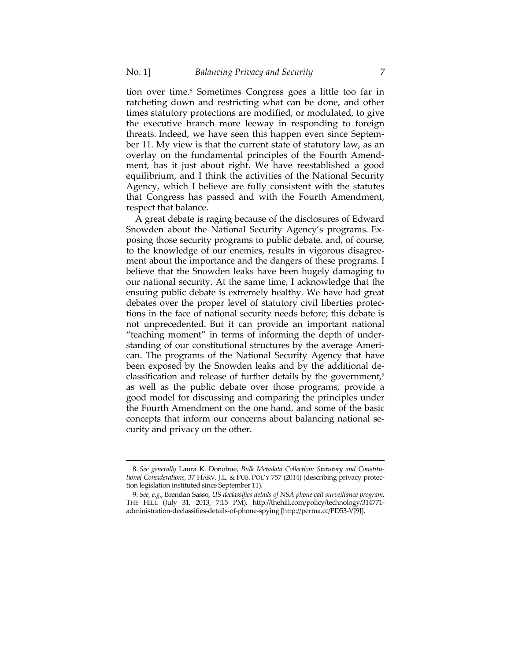tion over time.8 Sometimes Congress goes a little too far in ratcheting down and restricting what can be done, and other times statutory protections are modified, or modulated, to give the executive branch more leeway in responding to foreign threats. Indeed, we have seen this happen even since September 11. My view is that the current state of statutory law, as an overlay on the fundamental principles of the Fourth Amendment, has it just about right. We have reestablished a good equilibrium, and I think the activities of the National Security Agency, which I believe are fully consistent with the statutes that Congress has passed and with the Fourth Amendment, respect that balance.

A great debate is raging because of the disclosures of Edward Snowden about the National Security Agency's programs. Exposing those security programs to public debate, and, of course, to the knowledge of our enemies, results in vigorous disagreement about the importance and the dangers of these programs. I believe that the Snowden leaks have been hugely damaging to our national security. At the same time, I acknowledge that the ensuing public debate is extremely healthy. We have had great debates over the proper level of statutory civil liberties protections in the face of national security needs before; this debate is not unprecedented. But it can provide an important national "teaching moment" in terms of informing the depth of understanding of our constitutional structures by the average American. The programs of the National Security Agency that have been exposed by the Snowden leaks and by the additional declassification and release of further details by the government,<sup>9</sup> as well as the public debate over those programs, provide a good model for discussing and comparing the principles under the Fourth Amendment on the one hand, and some of the basic concepts that inform our concerns about balancing national security and privacy on the other.

<u> 1989 - Johann Barn, mars ar breithinn ar chuid ann an t-Alban ann an t-Alban ann an t-Alban ann an t-Alban a</u>

<sup>8</sup>*. See generally* Laura K. Donohue, *Bulk Metadata Collection: Statutory and Constitutional Considerations*, 37 HARV. J.L. & PUB. POL'Y 757 (2014) (describing privacy protection legislation instituted since September 11).

<sup>9</sup>*. See, e.g.*, Brendan Sasso, *US declassifies details of NSA phone call surveillance program*, THE HILL (July 31, 2013, 7:15 PM), http://thehill.com/policy/technology/314771 administration-declassifies-details-of-phone-spying [http://perma.cc/PD53-VJ9J].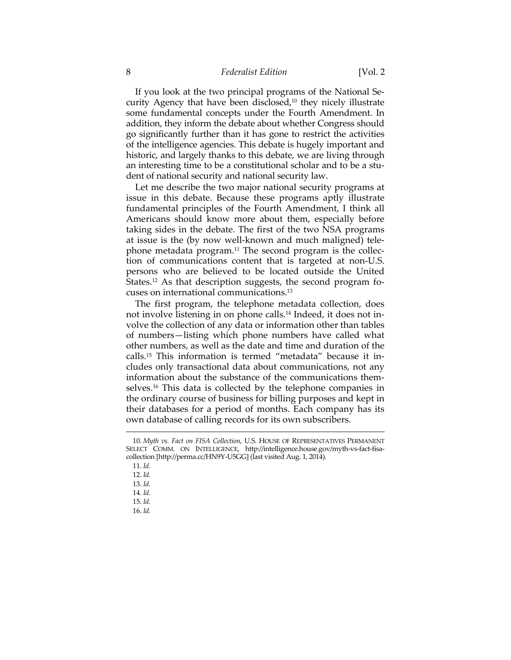## 8 *Federalist Edition* [Vol. 2

If you look at the two principal programs of the National Security Agency that have been disclosed, $10$  they nicely illustrate some fundamental concepts under the Fourth Amendment. In addition, they inform the debate about whether Congress should go significantly further than it has gone to restrict the activities of the intelligence agencies. This debate is hugely important and historic, and largely thanks to this debate, we are living through an interesting time to be a constitutional scholar and to be a student of national security and national security law.

Let me describe the two major national security programs at issue in this debate. Because these programs aptly illustrate fundamental principles of the Fourth Amendment, I think all Americans should know more about them, especially before taking sides in the debate. The first of the two NSA programs at issue is the (by now well-known and much maligned) telephone metadata program.11 The second program is the collection of communications content that is targeted at non-U.S. persons who are believed to be located outside the United States.<sup>12</sup> As that description suggests, the second program focuses on international communications.13

The first program, the telephone metadata collection, does not involve listening in on phone calls.<sup>14</sup> Indeed, it does not involve the collection of any data or information other than tables of numbers—listing which phone numbers have called what other numbers, as well as the date and time and duration of the calls.15 This information is termed "metadata" because it includes only transactional data about communications, not any information about the substance of the communications themselves.16 This data is collected by the telephone companies in the ordinary course of business for billing purposes and kept in their databases for a period of months. Each company has its own database of calling records for its own subscribers.

<u> 1989 - Johann Barn, mars ar breithinn ar chuid ann an t-Alban ann an t-Alban ann an t-Alban ann an t-Alban a</u>

16. *Id.*

<sup>10</sup>*. Myth vs. Fact on FISA Collection*, U.S. HOUSE OF REPRESENTATIVES PERMANENT SELECT COMM. ON INTELLIGENCE, http://intelligence.house.gov/myth-vs-fact-fisacollection [http://perma.cc/HN9Y-U5GG] (last visited Aug. 1, 2014).

 <sup>11.</sup> *Id.*

 <sup>12.</sup> *Id.*

 <sup>13.</sup> *Id.*

 <sup>14.</sup> *Id.*

 <sup>15.</sup> *Id.*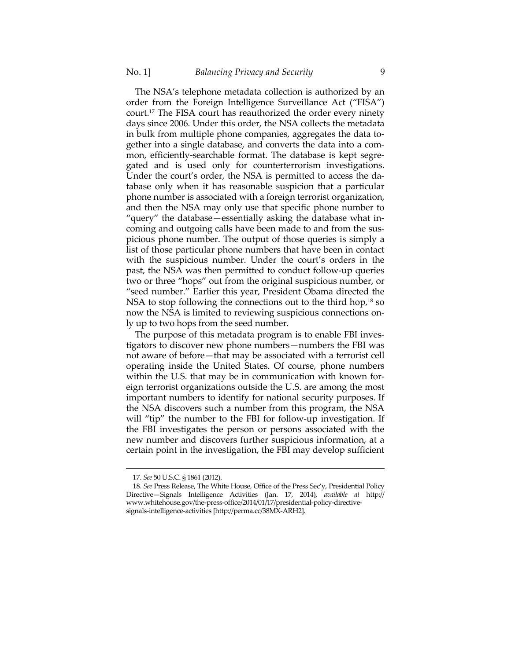The NSA's telephone metadata collection is authorized by an order from the Foreign Intelligence Surveillance Act ("FISA") court.17 The FISA court has reauthorized the order every ninety days since 2006. Under this order, the NSA collects the metadata in bulk from multiple phone companies, aggregates the data together into a single database, and converts the data into a common, efficiently-searchable format. The database is kept segregated and is used only for counterterrorism investigations. Under the court's order, the NSA is permitted to access the database only when it has reasonable suspicion that a particular phone number is associated with a foreign terrorist organization, and then the NSA may only use that specific phone number to "query" the database—essentially asking the database what incoming and outgoing calls have been made to and from the suspicious phone number. The output of those queries is simply a list of those particular phone numbers that have been in contact with the suspicious number. Under the court's orders in the past, the NSA was then permitted to conduct follow-up queries two or three "hops" out from the original suspicious number, or "seed number." Earlier this year, President Obama directed the NSA to stop following the connections out to the third hop,<sup>18</sup> so now the NSA is limited to reviewing suspicious connections only up to two hops from the seed number.

The purpose of this metadata program is to enable FBI investigators to discover new phone numbers—numbers the FBI was not aware of before—that may be associated with a terrorist cell operating inside the United States. Of course, phone numbers within the U.S. that may be in communication with known foreign terrorist organizations outside the U.S. are among the most important numbers to identify for national security purposes. If the NSA discovers such a number from this program, the NSA will "tip" the number to the FBI for follow-up investigation. If the FBI investigates the person or persons associated with the new number and discovers further suspicious information, at a certain point in the investigation, the FBI may develop sufficient

<u> 1989 - Johann Barn, mars ar breithinn ar chuid ann an t-Alban ann an t-Alban ann an t-Alban ann an t-Alban a</u>

 <sup>17.</sup> *See* 50 U.S.C. § 1861 (2012).

 <sup>18.</sup> *See* Press Release, The White House, Office of the Press Sec'y, Presidential Policy Directive—Signals Intelligence Activities (Jan. 17, 2014), *available at* http:// www.whitehouse.gov/the-press-office/2014/01/17/presidential-policy-directivesignals-intelligence-activities [http://perma.cc/38MX-ARH2].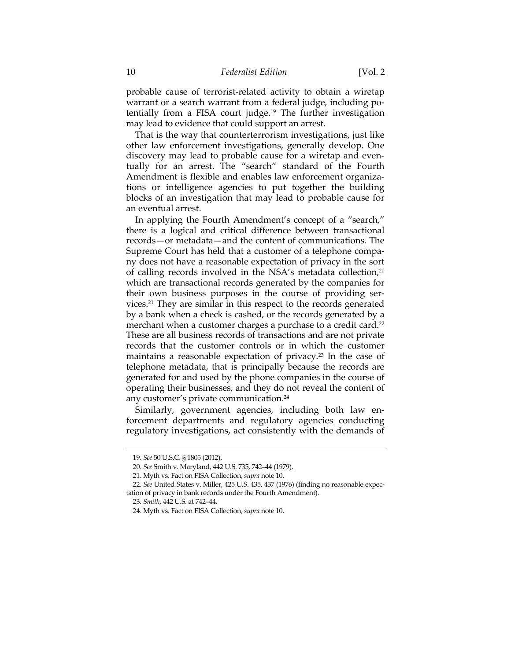probable cause of terrorist-related activity to obtain a wiretap warrant or a search warrant from a federal judge, including potentially from a FISA court judge.19 The further investigation may lead to evidence that could support an arrest.

That is the way that counterterrorism investigations, just like other law enforcement investigations, generally develop. One discovery may lead to probable cause for a wiretap and eventually for an arrest. The "search" standard of the Fourth Amendment is flexible and enables law enforcement organizations or intelligence agencies to put together the building blocks of an investigation that may lead to probable cause for an eventual arrest.

In applying the Fourth Amendment's concept of a "search," there is a logical and critical difference between transactional records—or metadata—and the content of communications. The Supreme Court has held that a customer of a telephone company does not have a reasonable expectation of privacy in the sort of calling records involved in the NSA's metadata collection,20 which are transactional records generated by the companies for their own business purposes in the course of providing services.21 They are similar in this respect to the records generated by a bank when a check is cashed, or the records generated by a merchant when a customer charges a purchase to a credit card.<sup>22</sup> These are all business records of transactions and are not private records that the customer controls or in which the customer maintains a reasonable expectation of privacy.<sup>23</sup> In the case of telephone metadata, that is principally because the records are generated for and used by the phone companies in the course of operating their businesses, and they do not reveal the content of any customer's private communication.24

Similarly, government agencies, including both law enforcement departments and regulatory agencies conducting regulatory investigations, act consistently with the demands of

<u> 1989 - Johann Stein, marwolaethau a bhann an t-Amhain an t-Amhain an t-Amhain an t-Amhain an t-Amhain an t-A</u>

 <sup>19.</sup> *See* 50 U.S.C. § 1805 (2012).

 <sup>20.</sup> *See* Smith v. Maryland, 442 U.S. 735, 742–44 (1979).

 <sup>21.</sup> Myth vs. Fact on FISA Collection, *supra* note 10.

<sup>22</sup>*. See* United States v. Miller, 425 U.S. 435, 437 (1976) (finding no reasonable expectation of privacy in bank records under the Fourth Amendment).

<sup>23</sup>*. Smith*, 442 U.S. at 742–44.

 <sup>24.</sup> Myth vs. Fact on FISA Collection, *supra* note 10.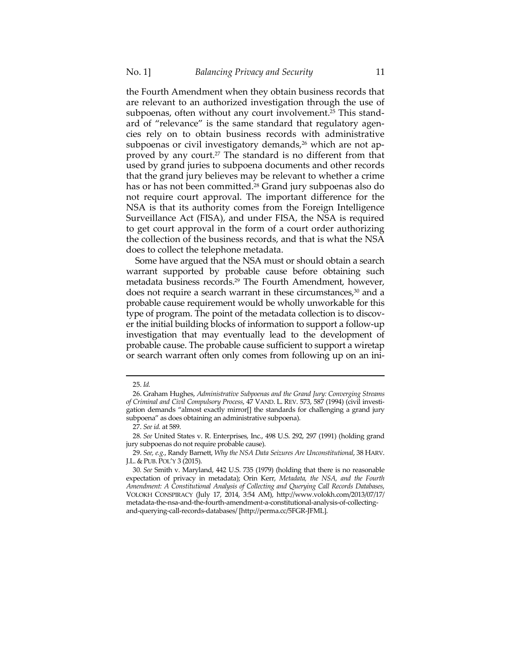the Fourth Amendment when they obtain business records that are relevant to an authorized investigation through the use of subpoenas, often without any court involvement.<sup>25</sup> This standard of "relevance" is the same standard that regulatory agencies rely on to obtain business records with administrative subpoenas or civil investigatory demands,<sup>26</sup> which are not approved by any court.<sup>27</sup> The standard is no different from that used by grand juries to subpoena documents and other records that the grand jury believes may be relevant to whether a crime has or has not been committed.<sup>28</sup> Grand jury subpoenas also do not require court approval. The important difference for the NSA is that its authority comes from the Foreign Intelligence Surveillance Act (FISA), and under FISA, the NSA is required to get court approval in the form of a court order authorizing the collection of the business records, and that is what the NSA does to collect the telephone metadata.

Some have argued that the NSA must or should obtain a search warrant supported by probable cause before obtaining such metadata business records.29 The Fourth Amendment, however, does not require a search warrant in these circumstances, $30$  and a probable cause requirement would be wholly unworkable for this type of program. The point of the metadata collection is to discover the initial building blocks of information to support a follow-up investigation that may eventually lead to the development of probable cause. The probable cause sufficient to support a wiretap or search warrant often only comes from following up on an ini-

<u> 1989 - Johann Stein, marwolaethau a bhannaich an t-Amhair an t-Amhair an t-Amhair an t-Amhair an t-Amhair an</u>

 <sup>25.</sup> *Id.*

 <sup>26.</sup> Graham Hughes, *Administrative Subpoenas and the Grand Jury: Converging Streams of Criminal and Civil Compulsory Process*, 47 VAND. L. REV. 573, 587 (1994) (civil investigation demands "almost exactly mirror[] the standards for challenging a grand jury subpoena" as does obtaining an administrative subpoena).

 <sup>27.</sup> *See id.* at 589.

<sup>28</sup>*. See* United States v. R. Enterprises, Inc., 498 U.S. 292, 297 (1991) (holding grand jury subpoenas do not require probable cause).

 <sup>29.</sup> *See, e.g.*, Randy Barnett, *Why the NSA Data Seizures Are Unconstitutional*, 38 HARV. J.L. & PUB. POL'Y 3 (2015).

<sup>30</sup>*. See* Smith v. Maryland, 442 U.S. 735 (1979) (holding that there is no reasonable expectation of privacy in metadata); Orin Kerr, *Metadata, the NSA, and the Fourth Amendment: A Constitutional Analysis of Collecting and Querying Call Records Databases*, VOLOKH CONSPIRACY (July 17, 2014, 3:54 AM), http://www.volokh.com/2013/07/17/ metadata-the-nsa-and-the-fourth-amendment-a-constitutional-analysis-of-collectingand-querying-call-records-databases/ [http://perma.cc/5FGR-JFML].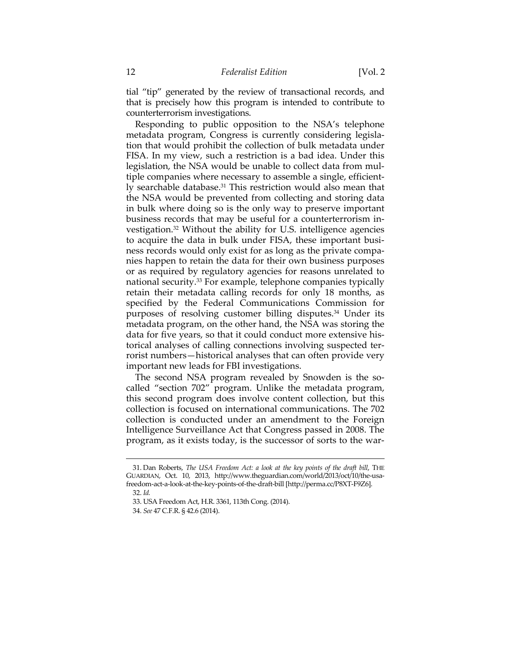tial "tip" generated by the review of transactional records, and that is precisely how this program is intended to contribute to counterterrorism investigations.

Responding to public opposition to the NSA's telephone metadata program, Congress is currently considering legislation that would prohibit the collection of bulk metadata under FISA. In my view, such a restriction is a bad idea. Under this legislation, the NSA would be unable to collect data from multiple companies where necessary to assemble a single, efficiently searchable database.<sup>31</sup> This restriction would also mean that the NSA would be prevented from collecting and storing data in bulk where doing so is the only way to preserve important business records that may be useful for a counterterrorism investigation.32 Without the ability for U.S. intelligence agencies to acquire the data in bulk under FISA, these important business records would only exist for as long as the private companies happen to retain the data for their own business purposes or as required by regulatory agencies for reasons unrelated to national security.<sup>33</sup> For example, telephone companies typically retain their metadata calling records for only 18 months, as specified by the Federal Communications Commission for purposes of resolving customer billing disputes.<sup>34</sup> Under its metadata program, on the other hand, the NSA was storing the data for five years, so that it could conduct more extensive historical analyses of calling connections involving suspected terrorist numbers—historical analyses that can often provide very important new leads for FBI investigations.

The second NSA program revealed by Snowden is the socalled "section 702" program. Unlike the metadata program, this second program does involve content collection, but this collection is focused on international communications. The 702 collection is conducted under an amendment to the Foreign Intelligence Surveillance Act that Congress passed in 2008. The program, as it exists today, is the successor of sorts to the war-

<u> 1989 - Johann Barn, mars ann an t-Amhain an t-Amhain ann an t-Amhain an t-Amhain an t-Amhain an t-Amhain an t-</u>

 <sup>31.</sup> Dan Roberts, *The USA Freedom Act: a look at the key points of the draft bill*, THE GUARDIAN, Oct. 10, 2013, http://www.theguardian.com/world/2013/oct/10/the-usafreedom-act-a-look-at-the-key-points-of-the-draft-bill [http://perma.cc/P8XT-F9Z6].

 <sup>32.</sup> *Id.*

 <sup>33.</sup> USA Freedom Act, H.R. 3361, 113th Cong. (2014).

 <sup>34.</sup> *See* 47 C.F.R. § 42.6 (2014).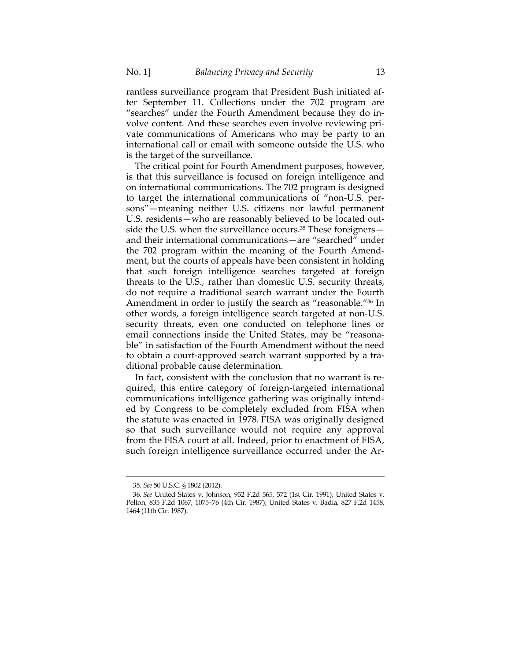rantless surveillance program that President Bush initiated after September 11. Collections under the 702 program are "searches" under the Fourth Amendment because they do involve content. And these searches even involve reviewing private communications of Americans who may be party to an international call or email with someone outside the U.S. who is the target of the surveillance.

The critical point for Fourth Amendment purposes, however, is that this surveillance is focused on foreign intelligence and on international communications. The 702 program is designed to target the international communications of "non-U.S. persons"—meaning neither U.S. citizens nor lawful permanent U.S. residents—who are reasonably believed to be located outside the U.S. when the surveillance occurs.<sup>35</sup> These foreigners and their international communications—are "searched" under the 702 program within the meaning of the Fourth Amendment, but the courts of appeals have been consistent in holding that such foreign intelligence searches targeted at foreign threats to the U.S., rather than domestic U.S. security threats, do not require a traditional search warrant under the Fourth Amendment in order to justify the search as "reasonable."36 In other words, a foreign intelligence search targeted at non-U.S. security threats, even one conducted on telephone lines or email connections inside the United States, may be "reasonable" in satisfaction of the Fourth Amendment without the need to obtain a court-approved search warrant supported by a traditional probable cause determination.

In fact, consistent with the conclusion that no warrant is required, this entire category of foreign-targeted international communications intelligence gathering was originally intended by Congress to be completely excluded from FISA when the statute was enacted in 1978. FISA was originally designed so that such surveillance would not require any approval from the FISA court at all. Indeed, prior to enactment of FISA, such foreign intelligence surveillance occurred under the Ar-

<u> 1989 - Johann Barn, mars ann an t-Amhain an t-Amhain ann an t-Amhain an t-Amhain an t-Amhain an t-Amhain an t-</u>

<sup>35</sup>*. See* 50 U.S.C. § 1802 (2012).

<sup>36</sup>*. See* United States v. Johnson, 952 F.2d 565, 572 (1st Cir. 1991); United States v. Pelton, 835 F.2d 1067, 1075–76 (4th Cir. 1987); United States v. Badia, 827 F.2d 1458, 1464 (11th Cir. 1987).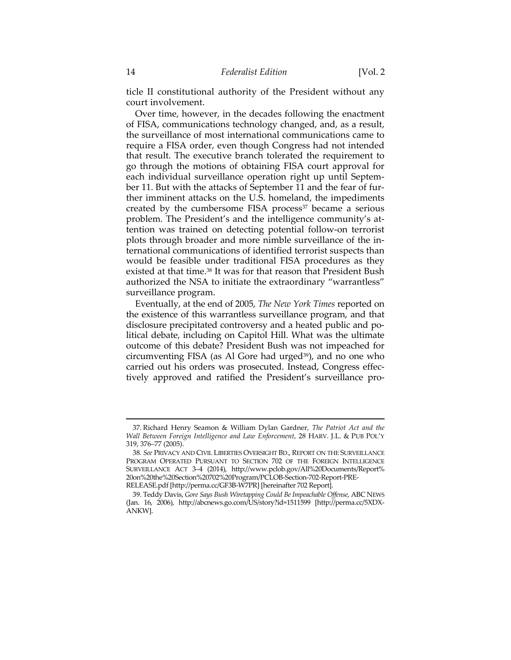ticle II constitutional authority of the President without any court involvement.

Over time, however, in the decades following the enactment of FISA, communications technology changed, and, as a result, the surveillance of most international communications came to require a FISA order, even though Congress had not intended that result. The executive branch tolerated the requirement to go through the motions of obtaining FISA court approval for each individual surveillance operation right up until September 11. But with the attacks of September 11 and the fear of further imminent attacks on the U.S. homeland, the impediments created by the cumbersome FISA process<sup>37</sup> became a serious problem. The President's and the intelligence community's attention was trained on detecting potential follow-on terrorist plots through broader and more nimble surveillance of the international communications of identified terrorist suspects than would be feasible under traditional FISA procedures as they existed at that time.<sup>38</sup> It was for that reason that President Bush authorized the NSA to initiate the extraordinary "warrantless" surveillance program.

Eventually, at the end of 2005, *The New York Times* reported on the existence of this warrantless surveillance program, and that disclosure precipitated controversy and a heated public and political debate, including on Capitol Hill. What was the ultimate outcome of this debate? President Bush was not impeached for circumventing FISA (as Al Gore had urged<sup>39</sup>), and no one who carried out his orders was prosecuted. Instead, Congress effectively approved and ratified the President's surveillance pro-

<u> 1989 - Johann Stein, marwolaethau a bhann an t-Amhain an t-Amhain an t-Amhain an t-Amhain an t-Amhain an t-A</u>

<sup>37</sup>*.* Richard Henry Seamon & William Dylan Gardner, *The Patriot Act and the Wall Between Foreign Intelligence and Law Enforcement*, 28 HARV. J.L. & PUB POL'Y 319, 376–77 (2005).

<sup>38</sup>*. See* PRIVACY AND CIVIL LIBERTIES OVERSIGHT BD., REPORT ON THE SURVEILLANCE PROGRAM OPERATED PURSUANT TO SECTION 702 OF THE FOREIGN INTELLIGENCE SURVEILLANCE ACT 3–4 (2014), http://www.pclob.gov/All%20Documents/Report% 20on%20the%20Section%20702%20Program/PCLOB-Section-702-Report-PRE-RELEASE.pdf [http://perma.cc/GF3B-W7PR] [hereinafter 702 Report].

 <sup>39.</sup> Teddy Davis, *Gore Says Bush Wiretapping Could Be Impeachable Offense*, ABC NEWS (Jan. 16, 2006), http://abcnews.go.com/US/story?id=1511599 [http://perma.cc/5XDX-ANKW].